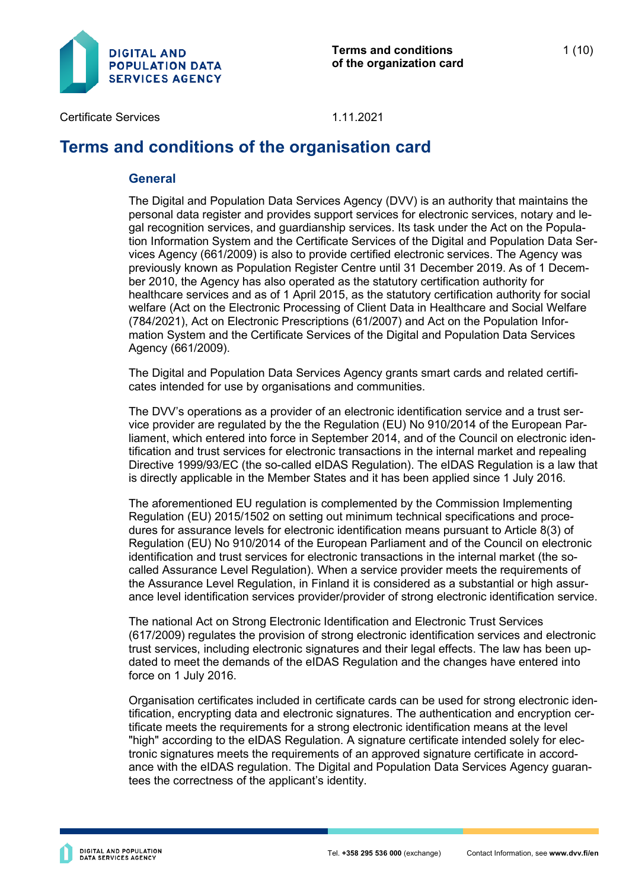

# **Terms and conditions of the organisation card**

#### **General**

The Digital and Population Data Services Agency (DVV) is an authority that maintains the personal data register and provides support services for electronic services, notary and legal recognition services, and guardianship services. Its task under the Act on the Population Information System and the Certificate Services of the Digital and Population Data Services Agency (661/2009) is also to provide certified electronic services. The Agency was previously known as Population Register Centre until 31 December 2019. As of 1 December 2010, the Agency has also operated as the statutory certification authority for healthcare services and as of 1 April 2015, as the statutory certification authority for social welfare (Act on the Electronic Processing of Client Data in Healthcare and Social Welfare (784/2021), Act on Electronic Prescriptions (61/2007) and Act on the Population Information System and the Certificate Services of the Digital and Population Data Services Agency (661/2009).

The Digital and Population Data Services Agency grants smart cards and related certificates intended for use by organisations and communities.

The DVV's operations as a provider of an electronic identification service and a trust service provider are regulated by the the Regulation (EU) No 910/2014 of the European Parliament, which entered into force in September 2014, and of the Council on electronic identification and trust services for electronic transactions in the internal market and repealing Directive 1999/93/EC (the so-called eIDAS Regulation). The eIDAS Regulation is a law that is directly applicable in the Member States and it has been applied since 1 July 2016.

The aforementioned EU regulation is complemented by the Commission Implementing Regulation (EU) 2015/1502 on setting out minimum technical specifications and procedures for assurance levels for electronic identification means pursuant to Article 8(3) of Regulation (EU) No 910/2014 of the European Parliament and of the Council on electronic identification and trust services for electronic transactions in the internal market (the socalled Assurance Level Regulation). When a service provider meets the requirements of the Assurance Level Regulation, in Finland it is considered as a substantial or high assurance level identification services provider/provider of strong electronic identification service.

The national Act on Strong Electronic Identification and Electronic Trust Services (617/2009) regulates the provision of strong electronic identification services and electronic trust services, including electronic signatures and their legal effects. The law has been updated to meet the demands of the eIDAS Regulation and the changes have entered into force on 1 July 2016.

Organisation certificates included in certificate cards can be used for strong electronic identification, encrypting data and electronic signatures. The authentication and encryption certificate meets the requirements for a strong electronic identification means at the level "high" according to the eIDAS Regulation. A signature certificate intended solely for electronic signatures meets the requirements of an approved signature certificate in accordance with the eIDAS regulation. The Digital and Population Data Services Agency guarantees the correctness of the applicant's identity.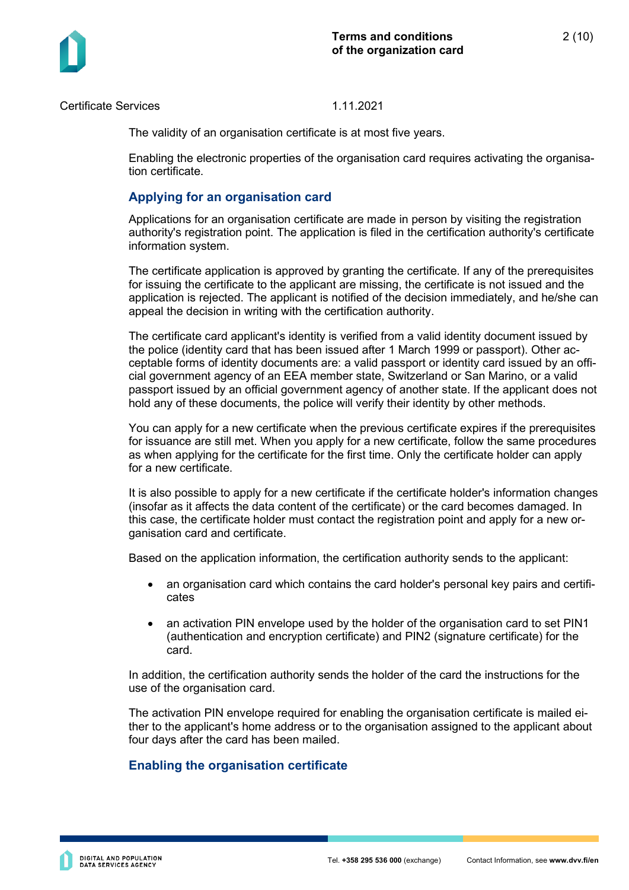

The validity of an organisation certificate is at most five years.

Enabling the electronic properties of the organisation card requires activating the organisation certificate.

# **Applying for an organisation card**

Applications for an organisation certificate are made in person by visiting the registration authority's registration point. The application is filed in the certification authority's certificate information system.

The certificate application is approved by granting the certificate. If any of the prerequisites for issuing the certificate to the applicant are missing, the certificate is not issued and the application is rejected. The applicant is notified of the decision immediately, and he/she can appeal the decision in writing with the certification authority.

The certificate card applicant's identity is verified from a valid identity document issued by the police (identity card that has been issued after 1 March 1999 or passport). Other acceptable forms of identity documents are: a valid passport or identity card issued by an official government agency of an EEA member state, Switzerland or San Marino, or a valid passport issued by an official government agency of another state. If the applicant does not hold any of these documents, the police will verify their identity by other methods.

You can apply for a new certificate when the previous certificate expires if the prerequisites for issuance are still met. When you apply for a new certificate, follow the same procedures as when applying for the certificate for the first time. Only the certificate holder can apply for a new certificate.

It is also possible to apply for a new certificate if the certificate holder's information changes (insofar as it affects the data content of the certificate) or the card becomes damaged. In this case, the certificate holder must contact the registration point and apply for a new organisation card and certificate.

Based on the application information, the certification authority sends to the applicant:

- an organisation card which contains the card holder's personal key pairs and certificates
- an activation PIN envelope used by the holder of the organisation card to set PIN1 (authentication and encryption certificate) and PIN2 (signature certificate) for the card.

In addition, the certification authority sends the holder of the card the instructions for the use of the organisation card.

The activation PIN envelope required for enabling the organisation certificate is mailed either to the applicant's home address or to the organisation assigned to the applicant about four days after the card has been mailed.

# **Enabling the organisation certificate**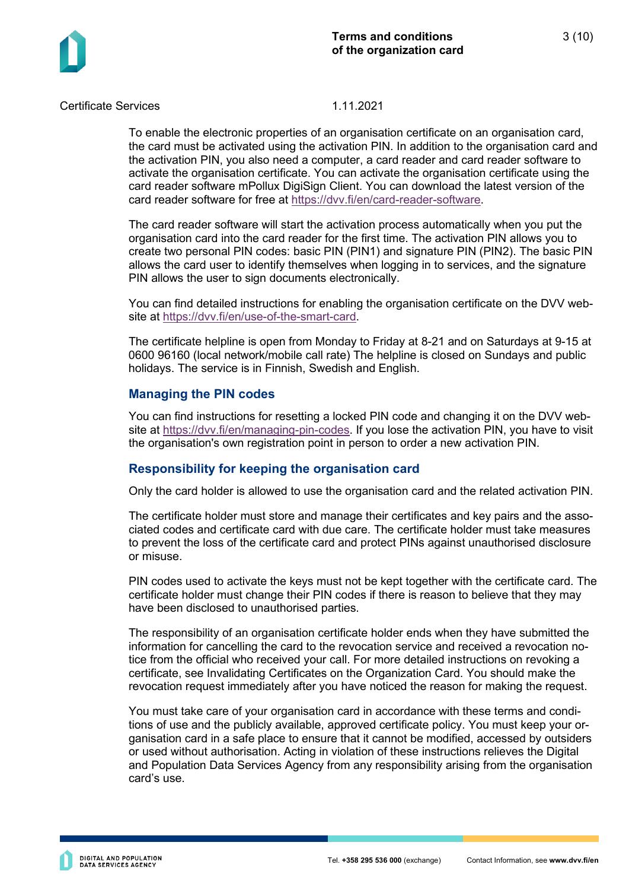

To enable the electronic properties of an organisation certificate on an organisation card, the card must be activated using the activation PIN. In addition to the organisation card and the activation PIN, you also need a computer, a card reader and card reader software to activate the organisation certificate. You can activate the organisation certificate using the card reader software mPollux DigiSign Client. You can download the latest version of the card reader software for free at [https://dvv.fi/en/card-reader-software.](https://dvv.fi/en/card-reader-software)

The card reader software will start the activation process automatically when you put the organisation card into the card reader for the first time. The activation PIN allows you to create two personal PIN codes: basic PIN (PIN1) and signature PIN (PIN2). The basic PIN allows the card user to identify themselves when logging in to services, and the signature PIN allows the user to sign documents electronically.

You can find detailed instructions for enabling the organisation certificate on the DVV website at [https://dvv.fi/en/use-of-the-smart-card.](https://dvv.fi/en/use-of-the-smart-card)

The certificate helpline is open from Monday to Friday at 8-21 and on Saturdays at 9-15 at 0600 96160 (local network/mobile call rate) The helpline is closed on Sundays and public holidays. The service is in Finnish, Swedish and English.

# **Managing the PIN codes**

You can find instructions for resetting a locked PIN code and changing it on the DVV website at [https://dvv.fi/en/managing-pin-codes.](https://dvv.fi/en/managing-pin-codes) If you lose the activation PIN, you have to visit the organisation's own registration point in person to order a new activation PIN.

# **Responsibility for keeping the organisation card**

Only the card holder is allowed to use the organisation card and the related activation PIN.

The certificate holder must store and manage their certificates and key pairs and the associated codes and certificate card with due care. The certificate holder must take measures to prevent the loss of the certificate card and protect PINs against unauthorised disclosure or misuse.

PIN codes used to activate the keys must not be kept together with the certificate card. The certificate holder must change their PIN codes if there is reason to believe that they may have been disclosed to unauthorised parties.

The responsibility of an organisation certificate holder ends when they have submitted the information for cancelling the card to the revocation service and received a revocation notice from the official who received your call. For more detailed instructions on revoking a certificate, see Invalidating Certificates on the Organization Card. You should make the revocation request immediately after you have noticed the reason for making the request.

You must take care of your organisation card in accordance with these terms and conditions of use and the publicly available, approved certificate policy. You must keep your organisation card in a safe place to ensure that it cannot be modified, accessed by outsiders or used without authorisation. Acting in violation of these instructions relieves the Digital and Population Data Services Agency from any responsibility arising from the organisation card's use.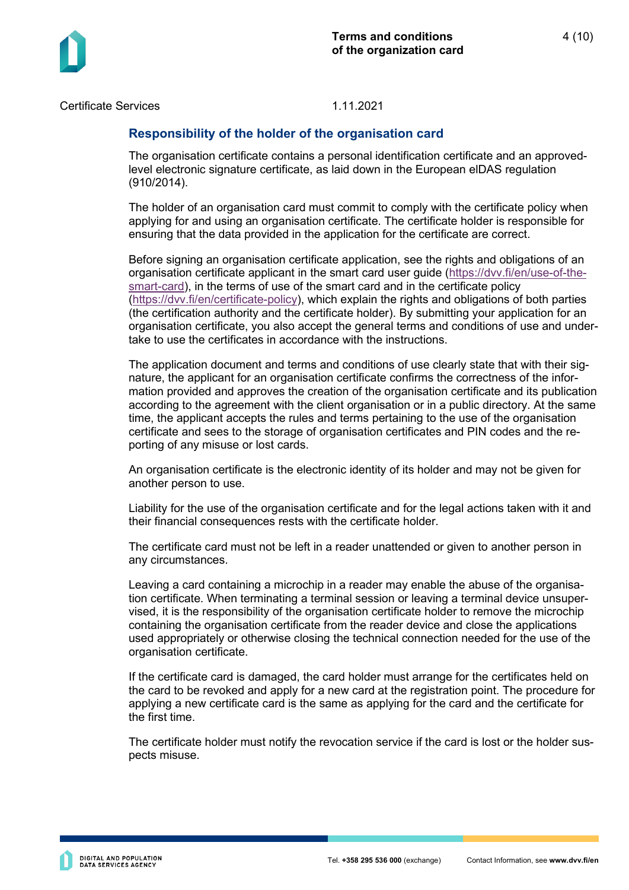

### **Responsibility of the holder of the organisation card**

The organisation certificate contains a personal identification certificate and an approvedlevel electronic signature certificate, as laid down in the European elDAS regulation (910/2014).

The holder of an organisation card must commit to comply with the certificate policy when applying for and using an organisation certificate. The certificate holder is responsible for ensuring that the data provided in the application for the certificate are correct.

Before signing an organisation certificate application, see the rights and obligations of an organisation certificate applicant in the smart card user quide [\(https://dvv.fi/en/use-of-the](https://dvv.fi/en/use-of-the-smart-card)[smart-card\)](https://dvv.fi/en/use-of-the-smart-card), in the terms of use of the smart card and in the certificate policy [\(https://dvv.fi/en/certificate-policy\)](https://dvv.fi/en/certificate-policy), which explain the rights and obligations of both parties (the certification authority and the certificate holder). By submitting your application for an organisation certificate, you also accept the general terms and conditions of use and undertake to use the certificates in accordance with the instructions.

The application document and terms and conditions of use clearly state that with their signature, the applicant for an organisation certificate confirms the correctness of the information provided and approves the creation of the organisation certificate and its publication according to the agreement with the client organisation or in a public directory. At the same time, the applicant accepts the rules and terms pertaining to the use of the organisation certificate and sees to the storage of organisation certificates and PIN codes and the reporting of any misuse or lost cards.

An organisation certificate is the electronic identity of its holder and may not be given for another person to use.

Liability for the use of the organisation certificate and for the legal actions taken with it and their financial consequences rests with the certificate holder.

The certificate card must not be left in a reader unattended or given to another person in any circumstances.

Leaving a card containing a microchip in a reader may enable the abuse of the organisation certificate. When terminating a terminal session or leaving a terminal device unsupervised, it is the responsibility of the organisation certificate holder to remove the microchip containing the organisation certificate from the reader device and close the applications used appropriately or otherwise closing the technical connection needed for the use of the organisation certificate.

If the certificate card is damaged, the card holder must arrange for the certificates held on the card to be revoked and apply for a new card at the registration point. The procedure for applying a new certificate card is the same as applying for the card and the certificate for the first time.

The certificate holder must notify the revocation service if the card is lost or the holder suspects misuse.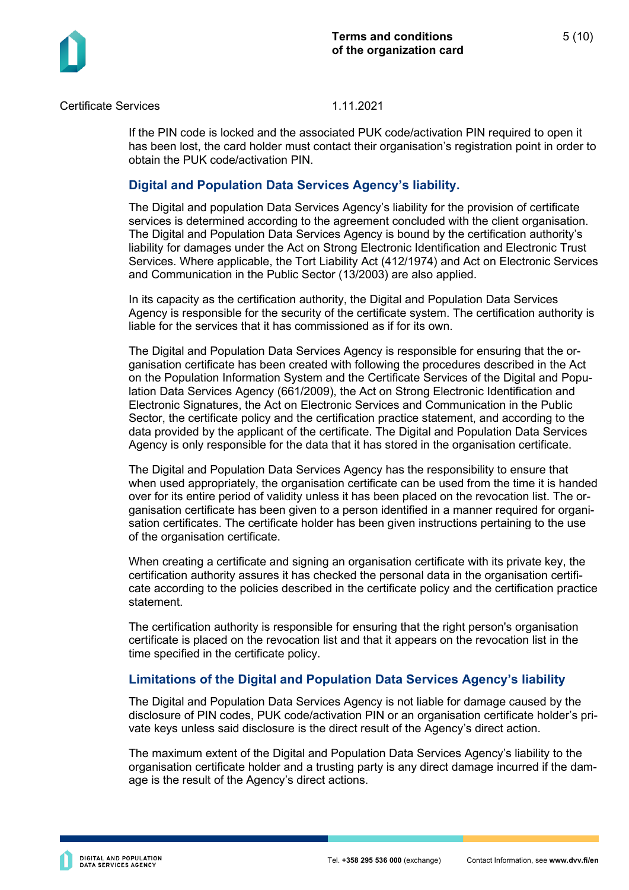

If the PIN code is locked and the associated PUK code/activation PIN required to open it has been lost, the card holder must contact their organisation's registration point in order to obtain the PUK code/activation PIN.

# **Digital and Population Data Services Agency's liability.**

The Digital and population Data Services Agency's liability for the provision of certificate services is determined according to the agreement concluded with the client organisation. The Digital and Population Data Services Agency is bound by the certification authority's liability for damages under the Act on Strong Electronic Identification and Electronic Trust Services. Where applicable, the Tort Liability Act (412/1974) and Act on Electronic Services and Communication in the Public Sector (13/2003) are also applied.

In its capacity as the certification authority, the Digital and Population Data Services Agency is responsible for the security of the certificate system. The certification authority is liable for the services that it has commissioned as if for its own.

The Digital and Population Data Services Agency is responsible for ensuring that the organisation certificate has been created with following the procedures described in the Act on the Population Information System and the Certificate Services of the Digital and Population Data Services Agency (661/2009), the Act on Strong Electronic Identification and Electronic Signatures, the Act on Electronic Services and Communication in the Public Sector, the certificate policy and the certification practice statement, and according to the data provided by the applicant of the certificate. The Digital and Population Data Services Agency is only responsible for the data that it has stored in the organisation certificate.

The Digital and Population Data Services Agency has the responsibility to ensure that when used appropriately, the organisation certificate can be used from the time it is handed over for its entire period of validity unless it has been placed on the revocation list. The organisation certificate has been given to a person identified in a manner required for organisation certificates. The certificate holder has been given instructions pertaining to the use of the organisation certificate.

When creating a certificate and signing an organisation certificate with its private key, the certification authority assures it has checked the personal data in the organisation certificate according to the policies described in the certificate policy and the certification practice statement.

The certification authority is responsible for ensuring that the right person's organisation certificate is placed on the revocation list and that it appears on the revocation list in the time specified in the certificate policy.

# **Limitations of the Digital and Population Data Services Agency's liability**

The Digital and Population Data Services Agency is not liable for damage caused by the disclosure of PIN codes, PUK code/activation PIN or an organisation certificate holder's private keys unless said disclosure is the direct result of the Agency's direct action.

The maximum extent of the Digital and Population Data Services Agency's liability to the organisation certificate holder and a trusting party is any direct damage incurred if the damage is the result of the Agency's direct actions.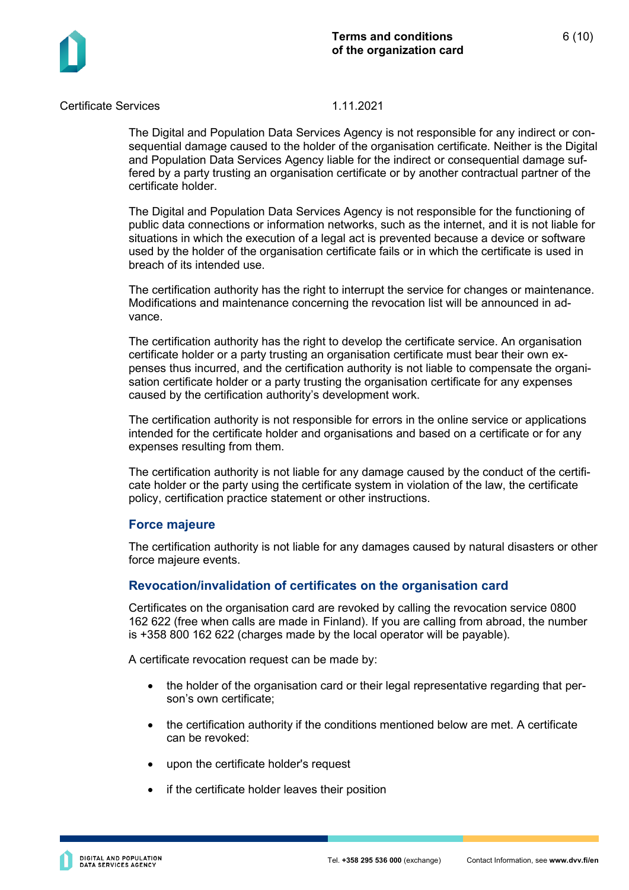



The Digital and Population Data Services Agency is not responsible for any indirect or consequential damage caused to the holder of the organisation certificate. Neither is the Digital and Population Data Services Agency liable for the indirect or consequential damage suffered by a party trusting an organisation certificate or by another contractual partner of the certificate holder.

The Digital and Population Data Services Agency is not responsible for the functioning of public data connections or information networks, such as the internet, and it is not liable for situations in which the execution of a legal act is prevented because a device or software used by the holder of the organisation certificate fails or in which the certificate is used in breach of its intended use.

The certification authority has the right to interrupt the service for changes or maintenance. Modifications and maintenance concerning the revocation list will be announced in advance.

The certification authority has the right to develop the certificate service. An organisation certificate holder or a party trusting an organisation certificate must bear their own expenses thus incurred, and the certification authority is not liable to compensate the organisation certificate holder or a party trusting the organisation certificate for any expenses caused by the certification authority's development work.

The certification authority is not responsible for errors in the online service or applications intended for the certificate holder and organisations and based on a certificate or for any expenses resulting from them.

The certification authority is not liable for any damage caused by the conduct of the certificate holder or the party using the certificate system in violation of the law, the certificate policy, certification practice statement or other instructions.

#### **Force majeure**

The certification authority is not liable for any damages caused by natural disasters or other force majeure events.

# **Revocation/invalidation of certificates on the organisation card**

Certificates on the organisation card are revoked by calling the revocation service 0800 162 622 (free when calls are made in Finland). If you are calling from abroad, the number is +358 800 162 622 (charges made by the local operator will be payable).

A certificate revocation request can be made by:

- the holder of the organisation card or their legal representative regarding that person's own certificate;
- the certification authority if the conditions mentioned below are met. A certificate can be revoked:
- upon the certificate holder's request
- if the certificate holder leaves their position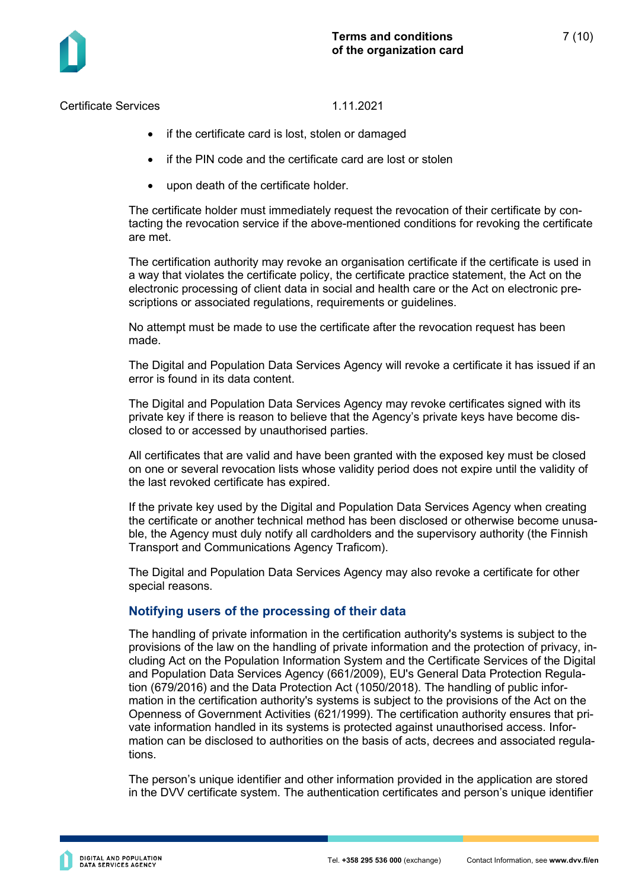- if the certificate card is lost, stolen or damaged
- if the PIN code and the certificate card are lost or stolen
- upon death of the certificate holder.

The certificate holder must immediately request the revocation of their certificate by contacting the revocation service if the above-mentioned conditions for revoking the certificate are met.

The certification authority may revoke an organisation certificate if the certificate is used in a way that violates the certificate policy, the certificate practice statement, the Act on the electronic processing of client data in social and health care or the Act on electronic prescriptions or associated regulations, requirements or quidelines.

No attempt must be made to use the certificate after the revocation request has been made.

The Digital and Population Data Services Agency will revoke a certificate it has issued if an error is found in its data content.

The Digital and Population Data Services Agency may revoke certificates signed with its private key if there is reason to believe that the Agency's private keys have become disclosed to or accessed by unauthorised parties.

All certificates that are valid and have been granted with the exposed key must be closed on one or several revocation lists whose validity period does not expire until the validity of the last revoked certificate has expired.

If the private key used by the Digital and Population Data Services Agency when creating the certificate or another technical method has been disclosed or otherwise become unusable, the Agency must duly notify all cardholders and the supervisory authority (the Finnish Transport and Communications Agency Traficom).

The Digital and Population Data Services Agency may also revoke a certificate for other special reasons.

# **Notifying users of the processing of their data**

The handling of private information in the certification authority's systems is subject to the provisions of the law on the handling of private information and the protection of privacy, including Act on the Population Information System and the Certificate Services of the Digital and Population Data Services Agency (661/2009), EU's General Data Protection Regulation (679/2016) and the Data Protection Act (1050/2018). The handling of public information in the certification authority's systems is subject to the provisions of the Act on the Openness of Government Activities (621/1999). The certification authority ensures that private information handled in its systems is protected against unauthorised access. Information can be disclosed to authorities on the basis of acts, decrees and associated regulations.

The person's unique identifier and other information provided in the application are stored in the DVV certificate system. The authentication certificates and person's unique identifier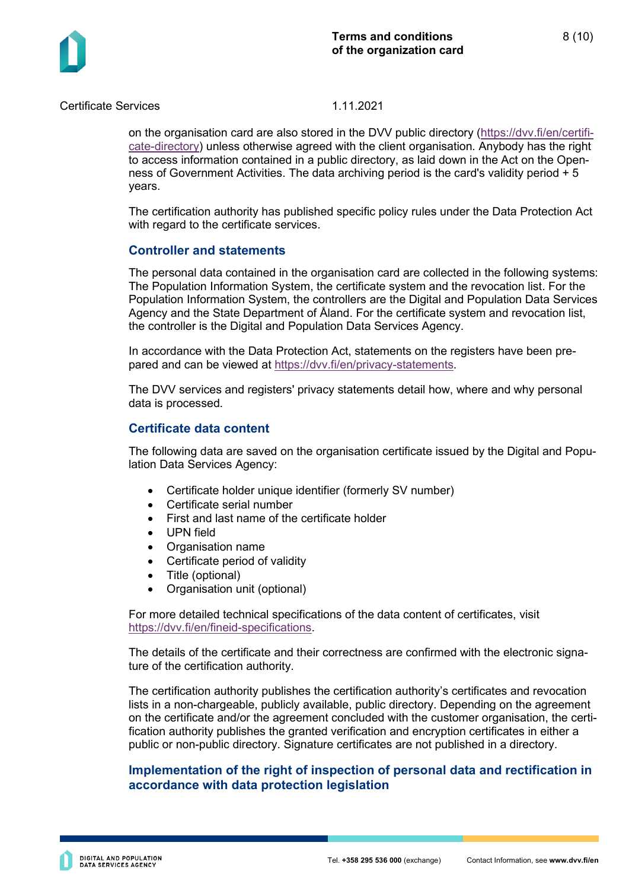

on the organisation card are also stored in the DVV public directory [\(https://dvv.fi/en/certifi](https://dvv.fi/en/certificate-directory)[cate-directory\)](https://dvv.fi/en/certificate-directory) unless otherwise agreed with the client organisation. Anybody has the right to access information contained in a public directory, as laid down in the Act on the Openness of Government Activities. The data archiving period is the card's validity period + 5 years.

The certification authority has published specific policy rules under the Data Protection Act with regard to the certificate services.

### **Controller and statements**

The personal data contained in the organisation card are collected in the following systems: The Population Information System, the certificate system and the revocation list. For the Population Information System, the controllers are the Digital and Population Data Services Agency and the State Department of Åland. For the certificate system and revocation list, the controller is the Digital and Population Data Services Agency.

In accordance with the Data Protection Act, statements on the registers have been prepared and can be viewed at [https://dvv.fi/en/privacy-statements.](https://dvv.fi/en/privacy-statements)

The DVV services and registers' privacy statements detail how, where and why personal data is processed.

### **Certificate data content**

The following data are saved on the organisation certificate issued by the Digital and Population Data Services Agency:

- Certificate holder unique identifier (formerly SV number)
- Certificate serial number
- First and last name of the certificate holder
- UPN field
- Organisation name
- Certificate period of validity
- Title (optional)
- Organisation unit (optional)

For more detailed technical specifications of the data content of certificates, visit [https://dvv.fi/en/fineid-specifications.](https://dvv.fi/en/fineid-specifications)

The details of the certificate and their correctness are confirmed with the electronic signature of the certification authority.

The certification authority publishes the certification authority's certificates and revocation lists in a non-chargeable, publicly available, public directory. Depending on the agreement on the certificate and/or the agreement concluded with the customer organisation, the certification authority publishes the granted verification and encryption certificates in either a public or non-public directory. Signature certificates are not published in a directory.

# **Implementation of the right of inspection of personal data and rectification in accordance with data protection legislation**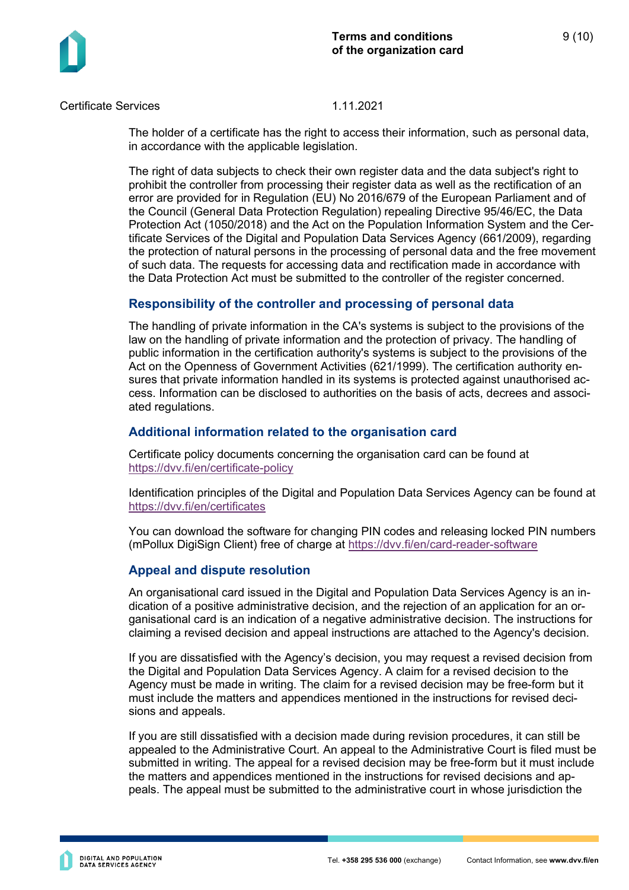

The holder of a certificate has the right to access their information, such as personal data, in accordance with the applicable legislation.

The right of data subjects to check their own register data and the data subject's right to prohibit the controller from processing their register data as well as the rectification of an error are provided for in Regulation (EU) No 2016/679 of the European Parliament and of the Council (General Data Protection Regulation) repealing Directive 95/46/EC, the Data Protection Act (1050/2018) and the Act on the Population Information System and the Certificate Services of the Digital and Population Data Services Agency (661/2009), regarding the protection of natural persons in the processing of personal data and the free movement of such data. The requests for accessing data and rectification made in accordance with the Data Protection Act must be submitted to the controller of the register concerned.

# **Responsibility of the controller and processing of personal data**

The handling of private information in the CA's systems is subject to the provisions of the law on the handling of private information and the protection of privacy. The handling of public information in the certification authority's systems is subject to the provisions of the Act on the Openness of Government Activities (621/1999). The certification authority ensures that private information handled in its systems is protected against unauthorised access. Information can be disclosed to authorities on the basis of acts, decrees and associated regulations.

# **Additional information related to the organisation card**

Certificate policy documents concerning the organisation card can be found at <https://dvv.fi/en/certificate-policy>

Identification principles of the Digital and Population Data Services Agency can be found at <https://dvv.fi/en/certificates>

You can download the software for changing PIN codes and releasing locked PIN numbers (mPollux DigiSign Client) free of charge at<https://dvv.fi/en/card-reader-software>

# **Appeal and dispute resolution**

An organisational card issued in the Digital and Population Data Services Agency is an indication of a positive administrative decision, and the rejection of an application for an organisational card is an indication of a negative administrative decision. The instructions for claiming a revised decision and appeal instructions are attached to the Agency's decision.

If you are dissatisfied with the Agency's decision, you may request a revised decision from the Digital and Population Data Services Agency. A claim for a revised decision to the Agency must be made in writing. The claim for a revised decision may be free-form but it must include the matters and appendices mentioned in the instructions for revised decisions and appeals.

If you are still dissatisfied with a decision made during revision procedures, it can still be appealed to the Administrative Court. An appeal to the Administrative Court is filed must be submitted in writing. The appeal for a revised decision may be free-form but it must include the matters and appendices mentioned in the instructions for revised decisions and appeals. The appeal must be submitted to the administrative court in whose jurisdiction the